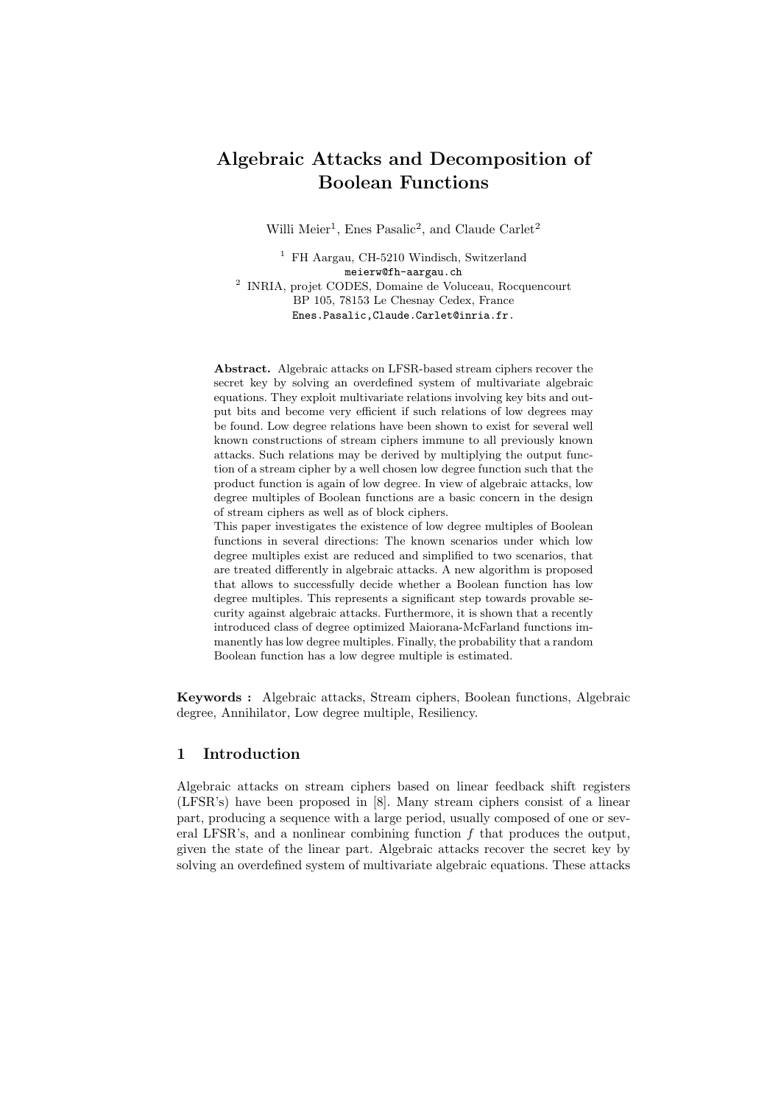# Algebraic Attacks and Decomposition of Boolean Functions

Willi Meier<sup>1</sup>, Enes Pasalic<sup>2</sup>, and Claude Carlet<sup>2</sup>

<sup>1</sup> FH Aargau, CH-5210 Windisch, Switzerland meierw@fh-aargau.ch 2 INRIA, projet CODES, Domaine de Voluceau, Rocquencourt BP 105, 78153 Le Chesnay Cedex, France Enes.Pasalic,Claude.Carlet@inria.fr.

Abstract. Algebraic attacks on LFSR-based stream ciphers recover the secret key by solving an overdefined system of multivariate algebraic equations. They exploit multivariate relations involving key bits and output bits and become very efficient if such relations of low degrees may be found. Low degree relations have been shown to exist for several well known constructions of stream ciphers immune to all previously known attacks. Such relations may be derived by multiplying the output function of a stream cipher by a well chosen low degree function such that the product function is again of low degree. In view of algebraic attacks, low degree multiples of Boolean functions are a basic concern in the design of stream ciphers as well as of block ciphers.

This paper investigates the existence of low degree multiples of Boolean functions in several directions: The known scenarios under which low degree multiples exist are reduced and simplified to two scenarios, that are treated differently in algebraic attacks. A new algorithm is proposed that allows to successfully decide whether a Boolean function has low degree multiples. This represents a significant step towards provable security against algebraic attacks. Furthermore, it is shown that a recently introduced class of degree optimized Maiorana-McFarland functions immanently has low degree multiples. Finally, the probability that a random Boolean function has a low degree multiple is estimated.

Keywords : Algebraic attacks, Stream ciphers, Boolean functions, Algebraic degree, Annihilator, Low degree multiple, Resiliency.

# 1 Introduction

Algebraic attacks on stream ciphers based on linear feedback shift registers (LFSR's) have been proposed in [8]. Many stream ciphers consist of a linear part, producing a sequence with a large period, usually composed of one or several LFSR's, and a nonlinear combining function  $f$  that produces the output, given the state of the linear part. Algebraic attacks recover the secret key by solving an overdefined system of multivariate algebraic equations. These attacks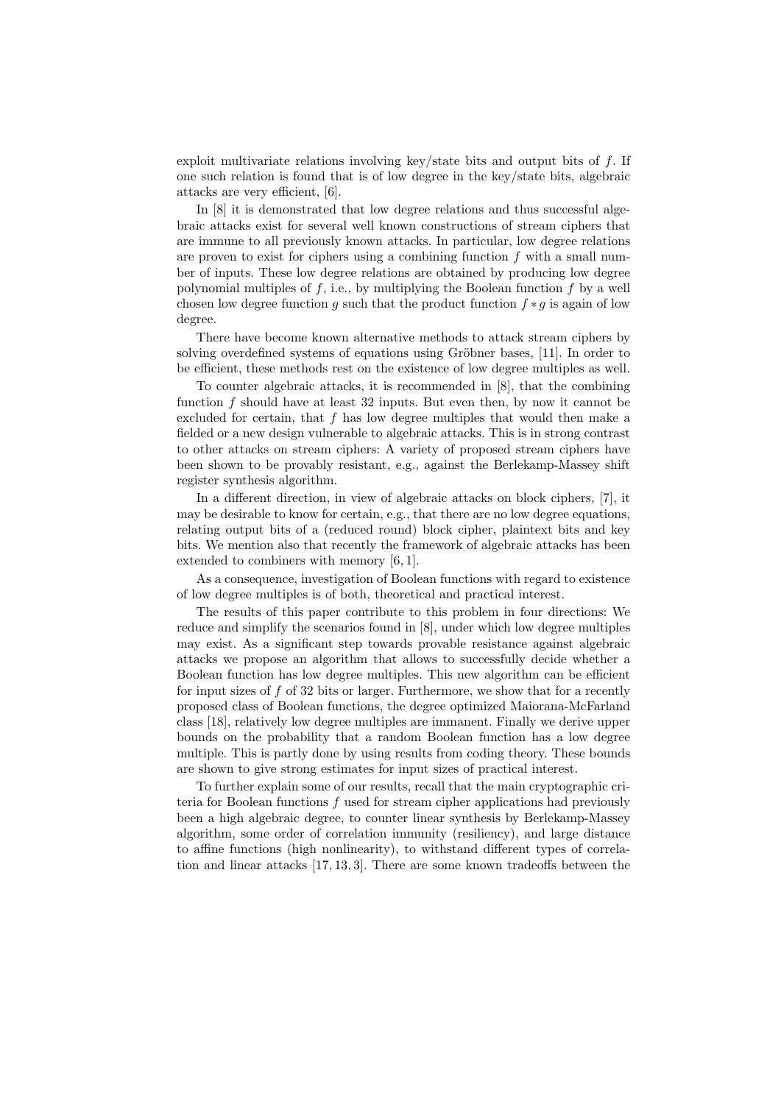exploit multivariate relations involving key/state bits and output bits of  $f$ . If one such relation is found that is of low degree in the key/state bits, algebraic attacks are very efficient, [6].

In [8] it is demonstrated that low degree relations and thus successful algebraic attacks exist for several well known constructions of stream ciphers that are immune to all previously known attacks. In particular, low degree relations are proven to exist for ciphers using a combining function  $f$  with a small number of inputs. These low degree relations are obtained by producing low degree polynomial multiples of  $f$ , i.e., by multiplying the Boolean function  $f$  by a well chosen low degree function g such that the product function  $f * g$  is again of low degree.

There have become known alternative methods to attack stream ciphers by solving overdefined systems of equations using Gröbner bases, [11]. In order to be efficient, these methods rest on the existence of low degree multiples as well.

To counter algebraic attacks, it is recommended in [8], that the combining function  $f$  should have at least 32 inputs. But even then, by now it cannot be excluded for certain, that  $f$  has low degree multiples that would then make a fielded or a new design vulnerable to algebraic attacks. This is in strong contrast to other attacks on stream ciphers: A variety of proposed stream ciphers have been shown to be provably resistant, e.g., against the Berlekamp-Massey shift register synthesis algorithm.

In a different direction, in view of algebraic attacks on block ciphers, [7], it may be desirable to know for certain, e.g., that there are no low degree equations, relating output bits of a (reduced round) block cipher, plaintext bits and key bits. We mention also that recently the framework of algebraic attacks has been extended to combiners with memory [6, 1].

As a consequence, investigation of Boolean functions with regard to existence of low degree multiples is of both, theoretical and practical interest.

The results of this paper contribute to this problem in four directions: We reduce and simplify the scenarios found in [8], under which low degree multiples may exist. As a significant step towards provable resistance against algebraic attacks we propose an algorithm that allows to successfully decide whether a Boolean function has low degree multiples. This new algorithm can be efficient for input sizes of  $f$  of 32 bits or larger. Furthermore, we show that for a recently proposed class of Boolean functions, the degree optimized Maiorana-McFarland class [18], relatively low degree multiples are immanent. Finally we derive upper bounds on the probability that a random Boolean function has a low degree multiple. This is partly done by using results from coding theory. These bounds are shown to give strong estimates for input sizes of practical interest.

To further explain some of our results, recall that the main cryptographic criteria for Boolean functions  $f$  used for stream cipher applications had previously been a high algebraic degree, to counter linear synthesis by Berlekamp-Massey algorithm, some order of correlation immunity (resiliency), and large distance to affine functions (high nonlinearity), to withstand different types of correlation and linear attacks [17, 13, 3]. There are some known tradeoffs between the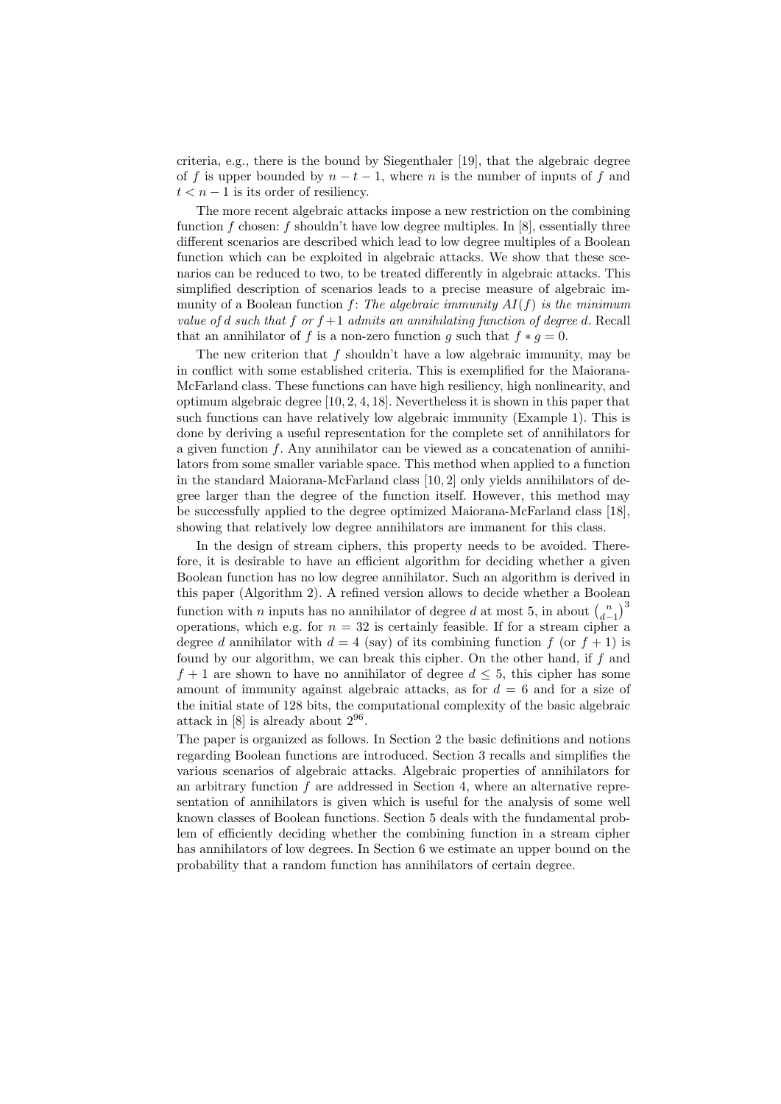criteria, e.g., there is the bound by Siegenthaler [19], that the algebraic degree of f is upper bounded by  $n - t - 1$ , where n is the number of inputs of f and  $t < n - 1$  is its order of resiliency.

The more recent algebraic attacks impose a new restriction on the combining function f chosen: f shouldn't have low degree multiples. In  $[8]$ , essentially three different scenarios are described which lead to low degree multiples of a Boolean function which can be exploited in algebraic attacks. We show that these scenarios can be reduced to two, to be treated differently in algebraic attacks. This simplified description of scenarios leads to a precise measure of algebraic immunity of a Boolean function f: The algebraic immunity  $AI(f)$  is the minimum value of d such that f or  $f+1$  admits an annihilating function of degree d. Recall that an annihilator of f is a non-zero function g such that  $f * g = 0$ .

The new criterion that  $f$  shouldn't have a low algebraic immunity, may be in conflict with some established criteria. This is exemplified for the Maiorana-McFarland class. These functions can have high resiliency, high nonlinearity, and optimum algebraic degree [10, 2, 4, 18]. Nevertheless it is shown in this paper that such functions can have relatively low algebraic immunity (Example 1). This is done by deriving a useful representation for the complete set of annihilators for a given function  $f$ . Any annihilator can be viewed as a concatenation of annihilators from some smaller variable space. This method when applied to a function in the standard Maiorana-McFarland class [10, 2] only yields annihilators of degree larger than the degree of the function itself. However, this method may be successfully applied to the degree optimized Maiorana-McFarland class [18], showing that relatively low degree annihilators are immanent for this class.

In the design of stream ciphers, this property needs to be avoided. Therefore, it is desirable to have an efficient algorithm for deciding whether a given Boolean function has no low degree annihilator. Such an algorithm is derived in this paper (Algorithm 2). A refined version allows to decide whether a Boolean function with *n* inputs has no annihilator of degree  $d$  at most 5, in about  $\binom{n}{d-1}^3$ operations, which e.g. for  $n = 32$  is certainly feasible. If for a stream cipher a degree d annihilator with  $d = 4$  (say) of its combining function f (or  $f + 1$ ) is found by our algorithm, we can break this cipher. On the other hand, if f and  $f + 1$  are shown to have no annihilator of degree  $d \leq 5$ , this cipher has some amount of immunity against algebraic attacks, as for  $d = 6$  and for a size of the initial state of 128 bits, the computational complexity of the basic algebraic attack in  $[8]$  is already about  $2^{96}$ .

The paper is organized as follows. In Section 2 the basic definitions and notions regarding Boolean functions are introduced. Section 3 recalls and simplifies the various scenarios of algebraic attacks. Algebraic properties of annihilators for an arbitrary function  $f$  are addressed in Section 4, where an alternative representation of annihilators is given which is useful for the analysis of some well known classes of Boolean functions. Section 5 deals with the fundamental problem of efficiently deciding whether the combining function in a stream cipher has annihilators of low degrees. In Section 6 we estimate an upper bound on the probability that a random function has annihilators of certain degree.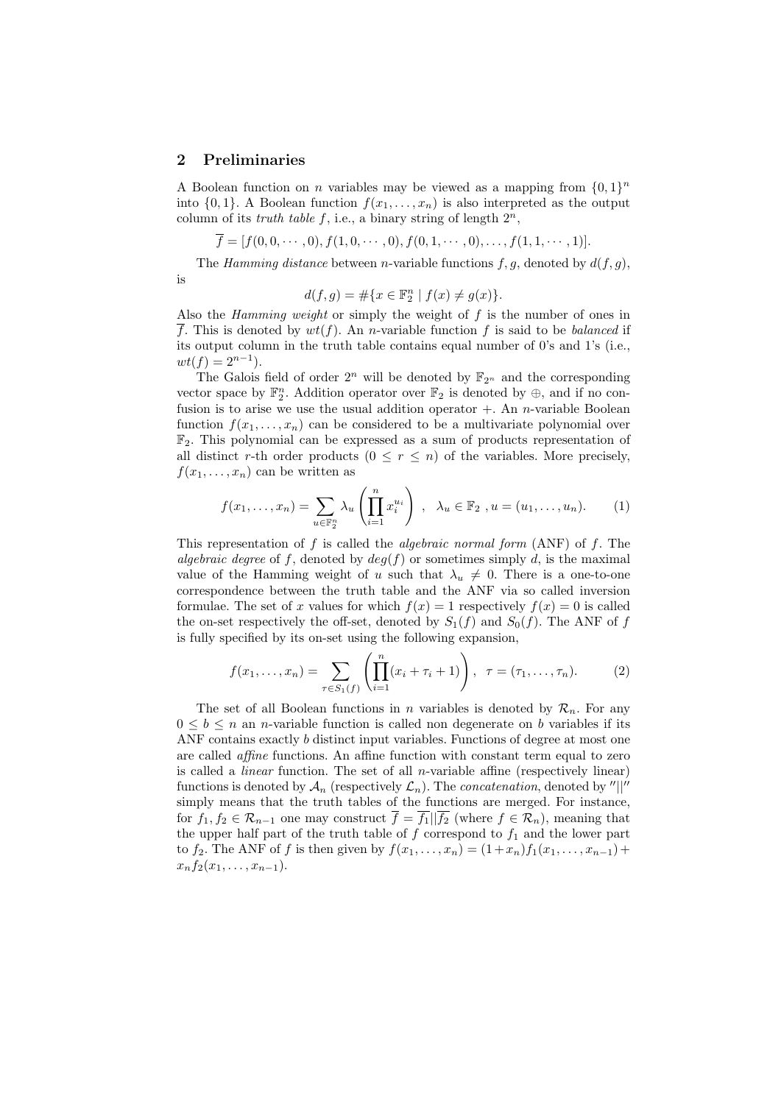#### 2 Preliminaries

is

A Boolean function on *n* variables may be viewed as a mapping from  $\{0,1\}^n$ into  $\{0, 1\}$ . A Boolean function  $f(x_1, \ldots, x_n)$  is also interpreted as the output column of its *truth table f*, i.e., a binary string of length  $2^n$ ,

$$
\overline{f} = [f(0,0,\dots,0), f(1,0,\dots,0), f(0,1,\dots,0), \dots, f(1,1,\dots,1)].
$$

The Hamming distance between n-variable functions  $f, g$ , denoted by  $d(f, g)$ ,

$$
d(f,g) = \#\{x \in \mathbb{F}_2^n \mid f(x) \neq g(x)\}.
$$

Also the *Hamming weight* or simply the weight of  $f$  is the number of ones in  $\overline{f}$ . This is denoted by  $wt(f)$ . An *n*-variable function f is said to be *balanced* if its output column in the truth table contains equal number of 0's and 1's (i.e.,  $wt(f) = 2^{n-1}.$ 

The Galois field of order  $2^n$  will be denoted by  $\mathbb{F}_{2^n}$  and the corresponding vector space by  $\mathbb{F}_2^n$ . Addition operator over  $\mathbb{F}_2$  is denoted by  $\oplus$ , and if no confusion is to arise we use the usual addition operator  $+$ . An *n*-variable Boolean function  $f(x_1, \ldots, x_n)$  can be considered to be a multivariate polynomial over  $\mathbb{F}_2$ . This polynomial can be expressed as a sum of products representation of all distinct r-th order products  $(0 \le r \le n)$  of the variables. More precisely,  $f(x_1, \ldots, x_n)$  can be written as

$$
f(x_1,...,x_n) = \sum_{u \in \mathbb{F}_2^n} \lambda_u \left( \prod_{i=1}^n x_i^{u_i} \right) , \quad \lambda_u \in \mathbb{F}_2 , u = (u_1,...,u_n). \tag{1}
$$

This representation of f is called the *algebraic normal form*  $(ANF)$  of f. The algebraic degree of f, denoted by  $deg(f)$  or sometimes simply d, is the maximal value of the Hamming weight of u such that  $\lambda_u \neq 0$ . There is a one-to-one correspondence between the truth table and the ANF via so called inversion formulae. The set of x values for which  $f(x) = 1$  respectively  $f(x) = 0$  is called the on-set respectively the off-set, denoted by  $S_1(f)$  and  $S_0(f)$ . The ANF of f is fully specified by its on-set using the following expansion,

$$
f(x_1,...,x_n) = \sum_{\tau \in S_1(f)} \left( \prod_{i=1}^n (x_i + \tau_i + 1) \right), \ \ \tau = (\tau_1,...,\tau_n). \tag{2}
$$

The set of all Boolean functions in n variables is denoted by  $\mathcal{R}_n$ . For any  $0 \leq b \leq n$  an *n*-variable function is called non degenerate on b variables if its ANF contains exactly b distinct input variables. Functions of degree at most one are called affine functions. An affine function with constant term equal to zero is called a *linear* function. The set of all *n*-variable affine (respectively linear) functions is denoted by  $\mathcal{A}_n$  (respectively  $\mathcal{L}_n$ ). The *concatenation*, denoted by "||" simply means that the truth tables of the functions are merged. For instance, for  $f_1, f_2 \in \mathcal{R}_{n-1}$  one may construct  $\overline{f} = \overline{f_1} \mid \overline{f_2}$  (where  $f \in \mathcal{R}_n$ ), meaning that the upper half part of the truth table of  $f$  correspond to  $f_1$  and the lower part to  $f_2$ . The ANF of f is then given by  $f(x_1, ..., x_n) = (1 + x_n) f_1(x_1, ..., x_{n-1}) +$  $x_n f_2(x_1, \ldots, x_{n-1}).$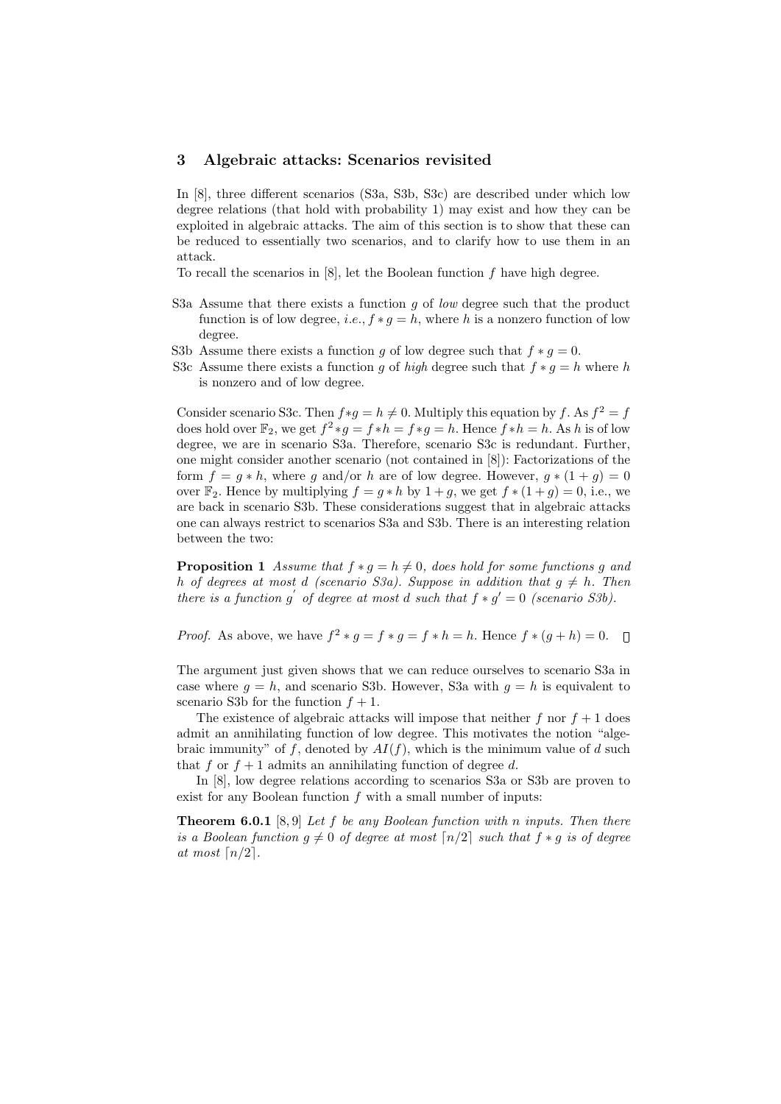#### 3 Algebraic attacks: Scenarios revisited

In [8], three different scenarios (S3a, S3b, S3c) are described under which low degree relations (that hold with probability 1) may exist and how they can be exploited in algebraic attacks. The aim of this section is to show that these can be reduced to essentially two scenarios, and to clarify how to use them in an attack.

To recall the scenarios in  $[8]$ , let the Boolean function  $f$  have high degree.

- S3a Assume that there exists a function  $g$  of low degree such that the product function is of low degree, *i.e.*,  $f * g = h$ , where h is a nonzero function of low degree.
- S3b Assume there exists a function g of low degree such that  $f * g = 0$ .
- S3c Assume there exists a function q of high degree such that  $f * q = h$  where h is nonzero and of low degree.

Consider scenario S3c. Then  $f*g = h \neq 0$ . Multiply this equation by f. As  $f^2 = f$ does hold over  $\mathbb{F}_2$ , we get  $f^2 * g = f * h = f * g = h$ . Hence  $f * h = h$ . As h is of low degree, we are in scenario S3a. Therefore, scenario S3c is redundant. Further, one might consider another scenario (not contained in [8]): Factorizations of the form  $f = g * h$ , where g and/or h are of low degree. However,  $g * (1 + g) = 0$ over  $\mathbb{F}_2$ . Hence by multiplying  $f = g * h$  by  $1 + g$ , we get  $f * (1 + g) = 0$ , i.e., we are back in scenario S3b. These considerations suggest that in algebraic attacks one can always restrict to scenarios S3a and S3b. There is an interesting relation between the two:

**Proposition 1** Assume that  $f * g = h \neq 0$ , does hold for some functions g and h of degrees at most d (scenario S3a). Suppose in addition that  $g \neq h$ . Then there is a function g' of degree at most d such that  $f * g' = 0$  (scenario S3b).

*Proof.* As above, we have  $f^2 * g = f * g = f * h = h$ . Hence  $f * (g + h) = 0$ .

The argument just given shows that we can reduce ourselves to scenario S3a in case where  $q = h$ , and scenario S3b. However, S3a with  $q = h$  is equivalent to scenario S3b for the function  $f + 1$ .

The existence of algebraic attacks will impose that neither f nor  $f + 1$  does admit an annihilating function of low degree. This motivates the notion "algebraic immunity" of f, denoted by  $AI(f)$ , which is the minimum value of d such that f or  $f + 1$  admits an annihilating function of degree d.

In [8], low degree relations according to scenarios S3a or S3b are proven to exist for any Boolean function  $f$  with a small number of inputs:

**Theorem 6.0.1** [8,9] Let f be any Boolean function with n inputs. Then there is a Boolean function  $g \neq 0$  of degree at most  $\lceil n/2 \rceil$  such that  $f * g$  is of degree at most  $\lceil n/2 \rceil$ .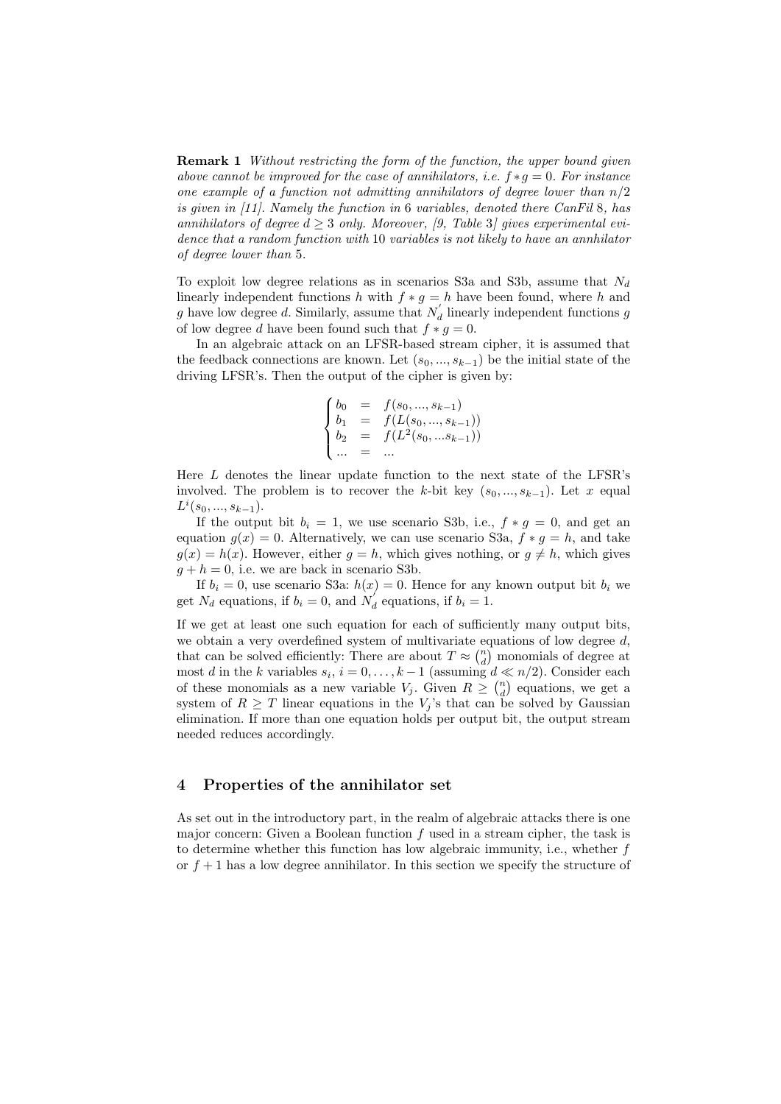**Remark 1** Without restricting the form of the function, the upper bound given above cannot be improved for the case of annihilators, i.e.  $f * g = 0$ . For instance one example of a function not admitting annihilators of degree lower than  $n/2$ is given in [11]. Namely the function in 6 variables, denoted there CanFil 8, has annihilators of degree  $d > 3$  only. Moreover, [9, Table 3] gives experimental evidence that a random function with 10 variables is not likely to have an annhilator of degree lower than 5.

To exploit low degree relations as in scenarios S3a and S3b, assume that  $N_d$ linearly independent functions h with  $f * g = h$  have been found, where h and g have low degree d. Similarly, assume that  $N_d$  linearly independent functions g of low degree d have been found such that  $f * g = 0$ .

In an algebraic attack on an LFSR-based stream cipher, it is assumed that the feedback connections are known. Let  $(s_0, ..., s_{k-1})$  be the initial state of the driving LFSR's. Then the output of the cipher is given by:

$$
\begin{cases}\nb_0 = f(s_0, ..., s_{k-1}) \\
b_1 = f(L(s_0, ..., s_{k-1})) \\
b_2 = f(L^2(s_0, ..., s_{k-1})) \\
\dots = \dots\n\end{cases}
$$

Here L denotes the linear update function to the next state of the LFSR's involved. The problem is to recover the k-bit key  $(s_0, ..., s_{k-1})$ . Let x equal  $L^i(s_0, ..., s_{k-1}).$ 

If the output bit  $b_i = 1$ , we use scenario S3b, i.e.,  $f * g = 0$ , and get an equation  $g(x) = 0$ . Alternatively, we can use scenario S3a,  $f * g = h$ , and take  $q(x) = h(x)$ . However, either  $q = h$ , which gives nothing, or  $q \neq h$ , which gives  $q + h = 0$ , i.e. we are back in scenario S3b.

If  $b_i = 0$ , use scenario S3a:  $h(x) = 0$ . Hence for any known output bit  $b_i$  we get  $N_d$  equations, if  $b_i = 0$ , and  $N_d$  equations, if  $b_i = 1$ .

If we get at least one such equation for each of sufficiently many output bits, we obtain a very overdefined system of multivariate equations of low degree  $d$ , that can be solved efficiently: There are about  $T \approx \binom{n}{d}$  monomials of degree at most d in the k variables  $s_i$ ,  $i = 0, \ldots, k - 1$  (assuming  $d \ll n/2$ ). Consider each of these monomials as a new variable  $V_j$ . Given  $R \geq \binom{n}{d}$  equations, we get a system of  $R \geq T$  linear equations in the  $V_j$ 's that can be solved by Gaussian elimination. If more than one equation holds per output bit, the output stream needed reduces accordingly.

#### 4 Properties of the annihilator set

As set out in the introductory part, in the realm of algebraic attacks there is one major concern: Given a Boolean function  $f$  used in a stream cipher, the task is to determine whether this function has low algebraic immunity, i.e., whether f or  $f + 1$  has a low degree annihilator. In this section we specify the structure of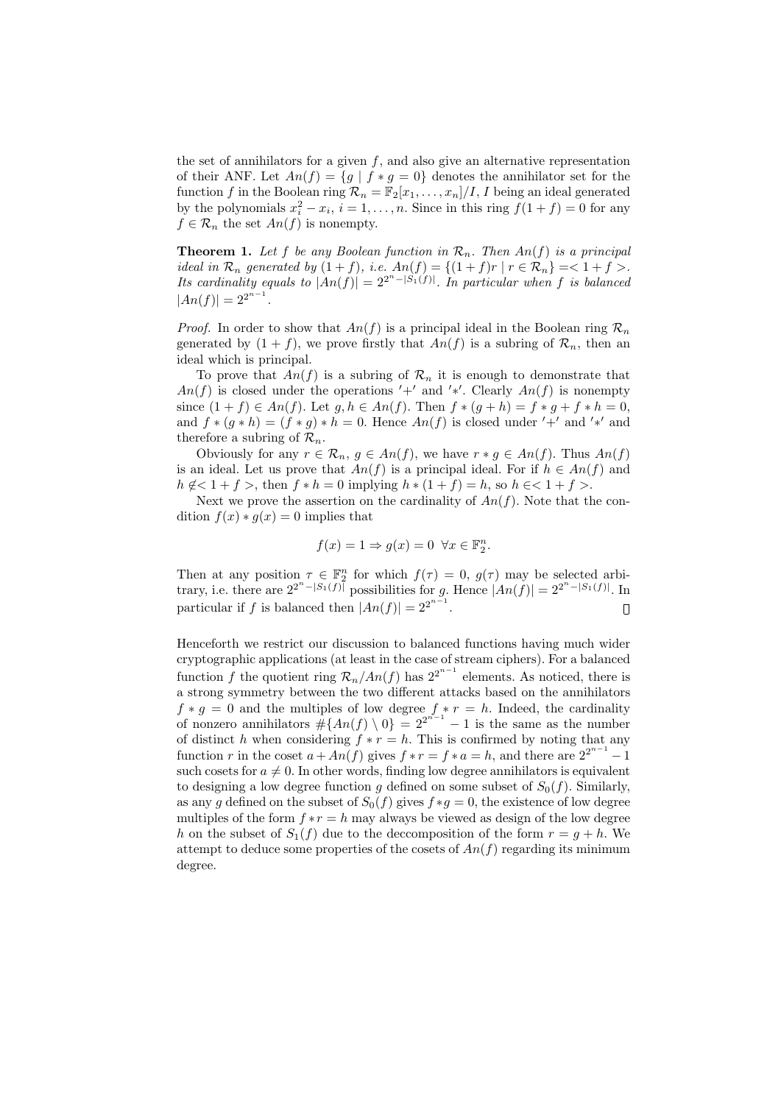the set of annihilators for a given  $f$ , and also give an alternative representation of their ANF. Let  $An(f) = \{g \mid f * g = 0\}$  denotes the annihilator set for the function f in the Boolean ring  $\mathcal{R}_n = \mathbb{F}_2[x_1, \ldots, x_n]/I$ , I being an ideal generated by the polynomials  $x_i^2 - x_i$ ,  $i = 1, ..., n$ . Since in this ring  $f(1 + f) = 0$  for any  $f \in \mathcal{R}_n$  the set  $An(f)$  is nonempty.

**Theorem 1.** Let f be any Boolean function in  $\mathcal{R}_n$ . Then An(f) is a principal ideal in  $\mathcal{R}_n$  generated by  $(1 + f)$ , i.e.  $An(f) = \{(1 + f)r \mid r \in \mathcal{R}_n\} = 1 + f >$ . Its cardinality equals to  $|An(f)| = 2^{2^n - |S_1(f)|}$ . In particular when f is balanced  $|An(f)| = 2^{2^{n-1}}$ .

*Proof.* In order to show that  $An(f)$  is a principal ideal in the Boolean ring  $\mathcal{R}_n$ generated by  $(1 + f)$ , we prove firstly that  $An(f)$  is a subring of  $\mathcal{R}_n$ , then an ideal which is principal.

To prove that  $An(f)$  is a subring of  $\mathcal{R}_n$  it is enough to demonstrate that  $An(f)$  is closed under the operations '+' and '\*'. Clearly  $An(f)$  is nonempty since  $(1 + f) \in An(f)$ . Let  $g, h \in An(f)$ . Then  $f * (g + h) = f * g + f * h = 0$ , and  $f * (g * h) = (f * g) * h = 0$ . Hence  $An(f)$  is closed under '+' and '\*' and therefore a subring of  $\mathcal{R}_n$ .

Obviously for any  $r \in \mathcal{R}_n$ ,  $g \in An(f)$ , we have  $r * g \in An(f)$ . Thus  $An(f)$ is an ideal. Let us prove that  $An(f)$  is a principal ideal. For if  $h \in An(f)$  and  $h \notin \left\{1 + f\right\}$ , then  $f * h = 0$  implying  $h * (1 + f) = h$ , so  $h \in \left\{1 + f\right\}$ .

Next we prove the assertion on the cardinality of  $An(f)$ . Note that the condition  $f(x) * g(x) = 0$  implies that

$$
f(x) = 1 \Rightarrow g(x) = 0 \quad \forall x \in \mathbb{F}_2^n.
$$

Then at any position  $\tau \in \mathbb{F}_2^n$  for which  $f(\tau) = 0$ ,  $g(\tau)$  may be selected arbitrary, i.e. there are  $2^{2^n - |S_1(f)|}$  possibilities for g. Hence  $|An(f)| = 2^{2^n - |S_1(f)|}$ . In particular if f is balanced then  $|An(f)| = 2^{2^{n-1}}$ .  $\hfill\Box$ 

Henceforth we restrict our discussion to balanced functions having much wider cryptographic applications (at least in the case of stream ciphers). For a balanced function f the quotient ring  $\mathcal{R}_n/An(f)$  has  $2^{2^{n-1}}$  elements. As noticed, there is a strong symmetry between the two different attacks based on the annihilators  $f * g = 0$  and the multiples of low degree  $f * r = h$ . Indeed, the cardinality of nonzero annihilators  $\#\{An(f) \setminus 0\} = 2^{2^{n-1}} - 1$  is the same as the number of distinct h when considering  $f * r = h$ . This is confirmed by noting that any function r in the coset  $a + An(f)$  gives  $f * r = f * a = h$ , and there are  $2^{2^{n-1}} - 1$ such cosets for  $a \neq 0$ . In other words, finding low degree annihilators is equivalent to designing a low degree function q defined on some subset of  $S_0(f)$ . Similarly, as any g defined on the subset of  $S_0(f)$  gives  $f * g = 0$ , the existence of low degree multiples of the form  $f * r = h$  may always be viewed as design of the low degree h on the subset of  $S_1(f)$  due to the deccomposition of the form  $r = q + h$ . We attempt to deduce some properties of the cosets of  $An(f)$  regarding its minimum degree.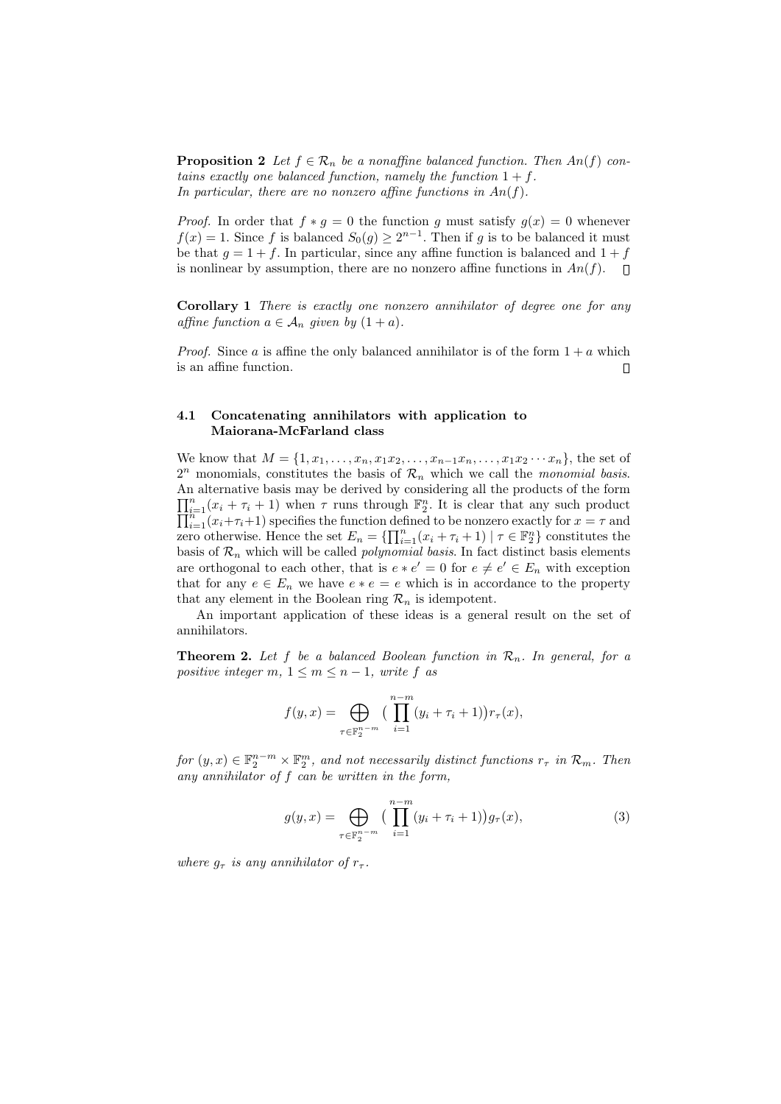**Proposition 2** Let  $f \in \mathcal{R}_n$  be a nonaffine balanced function. Then  $An(f)$  contains exactly one balanced function, namely the function  $1 + f$ . In particular, there are no nonzero affine functions in  $An(f)$ .

*Proof.* In order that  $f * g = 0$  the function g must satisfy  $g(x) = 0$  whenever  $f(x) = 1$ . Since f is balanced  $S_0(g) \ge 2^{n-1}$ . Then if g is to be balanced it must be that  $q = 1 + f$ . In particular, since any affine function is balanced and  $1 + f$ is nonlinear by assumption, there are no nonzero affine functions in  $An(f)$ .

Corollary 1 There is exactly one nonzero annihilator of degree one for any affine function  $a \in A_n$  given by  $(1 + a)$ .

*Proof.* Since a is affine the only balanced annihilator is of the form  $1 + a$  which is an affine function.  $\Box$ 

#### 4.1 Concatenating annihilators with application to Maiorana-McFarland class

We know that  $M = \{1, x_1, \ldots, x_n, x_1x_2, \ldots, x_{n-1}x_n, \ldots, x_1x_2 \cdots x_n\}$ , the set of  $2^n$  monomials, constitutes the basis of  $\mathcal{R}_n$  which we call the *monomial basis*. An alternative basis may be derived by considering all the products of the form  $\prod_{i=1}^{n} (x_i + \tau_i + 1)$  when  $\tau$  runs through  $\mathbb{F}_2^n$ <br> $\prod_{i=1}^{n} (x_i + \tau_i + 1)$  specifies the function defined  $\prod_{i=1}^{n}(x_i + \tau_i + 1)$  when  $\tau$  runs through  $\mathbb{F}_2^n$ . It is clear that any such product  $\prod_{i=1}^{n}(x_i + \tau_i + 1)$  specifies the function defined to be nonzero exactly for  $x = \tau$  and zero otherwise. Hence the set  $E_n = \{\prod_{i=1}^n (x_i + \tau_i + 1) \mid \tau \in \mathbb{F}_2^n\}$  constitutes the basis of  $\mathcal{R}_n$  which will be called *polynomial basis*. In fact distinct basis elements are orthogonal to each other, that is  $e * e' = 0$  for  $e \neq e' \in E_n$  with exception that for any  $e \in E_n$  we have  $e * e = e$  which is in accordance to the property that any element in the Boolean ring  $\mathcal{R}_n$  is idempotent.

An important application of these ideas is a general result on the set of annihilators.

**Theorem 2.** Let f be a balanced Boolean function in  $\mathcal{R}_n$ . In general, for a positive integer m,  $1 \le m \le n-1$ , write f as

$$
f(y,x) = \bigoplus_{\tau \in \mathbb{F}_2^{n-m}} \big( \prod_{i=1}^{n-m} (y_i + \tau_i + 1) \big) r_{\tau}(x),
$$

for  $(y, x) \in \mathbb{F}_2^{n-m} \times \mathbb{F}_2^m$ , and not necessarily distinct functions  $r_{\tau}$  in  $\mathcal{R}_m$ . Then any annihilator of f can be written in the form,

$$
g(y,x) = \bigoplus_{\tau \in \mathbb{F}_2^{n-m}} \left( \prod_{i=1}^{n-m} (y_i + \tau_i + 1) \right) g_\tau(x), \tag{3}
$$

where  $g_{\tau}$  is any annihilator of  $r_{\tau}$ .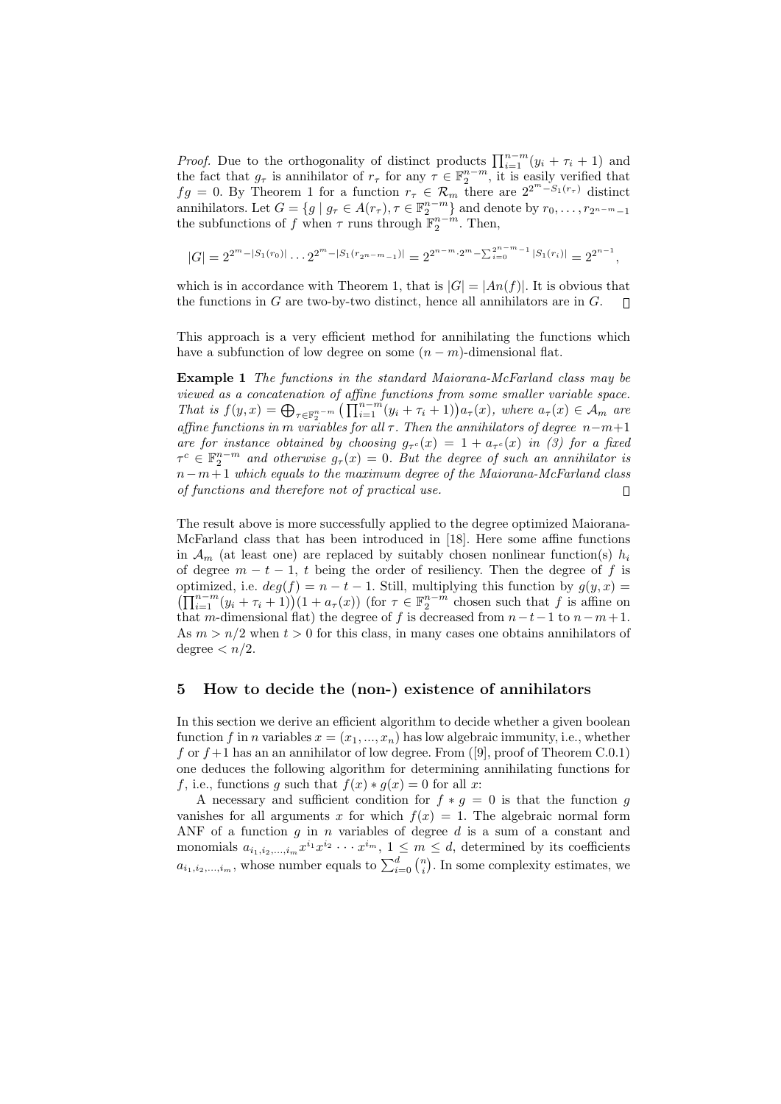*Proof.* Due to the orthogonality of distinct products  $\prod_{i=1}^{n-m} (y_i + \tau_i + 1)$  and the fact that  $g_{\tau}$  is annihilator of  $r_{\tau}$  for any  $\tau \in \mathbb{F}_2^{n-m}$ , it is easily verified that  $fg = 0$ . By Theorem 1 for a function  $r_{\tau} \in \mathcal{R}_m$  there are  $2^{2^m - S_1(r_{\tau})}$  distinct annihilators. Let  $G = \{g \mid g_{\tau} \in A(r_{\tau}), \tau \in \mathbb{F}_2^{n-m}\}\$  and denote by  $r_0, \ldots, r_{2^{n-m}-1}\}$ the subfunctions of f when  $\tau$  runs through  $\mathbb{F}_2^{n-m}$ . Then,

$$
|G| = 2^{2^m - |S_1(r_0)|} \dots 2^{2^m - |S_1(r_{2^{n-m}-1})|} = 2^{2^{n-m} \cdot 2^m - \sum_{i=0}^{2^{n-m}-1} |S_1(r_i)|} = 2^{2^{n-1}},
$$

which is in accordance with Theorem 1, that is  $|G| = |An(f)|$ . It is obvious that the functions in  $G$  are two-by-two distinct, hence all annihilators are in  $G$ .  $\Box$ 

This approach is a very efficient method for annihilating the functions which have a subfunction of low degree on some  $(n - m)$ -dimensional flat.

Example 1 The functions in the standard Maiorana-McFarland class may be viewed as a concatenation of affine functions from some smaller variable space. That is  $f(y,x) = \bigoplus_{\tau \in \mathbb{F}_2^{n-m}} \left( \prod_{i=1}^{n-m} (y_i + \tau_i + 1) \right) a_{\tau}(x)$ , where  $a_{\tau}(x) \in \mathcal{A}_m$  are affine functions in m variables for all  $\tau$ . Then the annihilators of degree n-m+1 are for instance obtained by choosing  $g_{\tau^c}(x) = 1 + a_{\tau^c}(x)$  in (3) for a fixed  $\tau^c \in \mathbb{F}_2^{n-m}$  and otherwise  $g_{\tau}(x) = 0$ . But the degree of such an annihilator is  $n-m+1$  which equals to the maximum degree of the Maiorana-McFarland class of functions and therefore not of practical use.  $\Box$ 

The result above is more successfully applied to the degree optimized Maiorana-McFarland class that has been introduced in [18]. Here some affine functions in  $\mathcal{A}_m$  (at least one) are replaced by suitably chosen nonlinear function(s)  $h_i$ of degree  $m - t - 1$ , t being the order of resiliency. Then the degree of f is optimized, i.e.  $deg(f) = n - t - 1$ . Still, multiplying this function by  $g(y, x) =$  $(\prod_{i=1}^{n-m} (y_i + \tau_i + 1))(1 + a_{\tau}(x))$  (for  $\tau \in \mathbb{F}_2^{n-m}$  chosen such that f is affine on that m-dimensional flat) the degree of f is decreased from  $n-t-1$  to  $n-m+1$ . As  $m > n/2$  when  $t > 0$  for this class, in many cases one obtains annihilators of degree  $\langle n/2.$ 

#### 5 How to decide the (non-) existence of annihilators

In this section we derive an efficient algorithm to decide whether a given boolean function f in n variables  $x = (x_1, ..., x_n)$  has low algebraic immunity, i.e., whether f or  $f+1$  has an an annihilator of low degree. From ([9], proof of Theorem C.0.1) one deduces the following algorithm for determining annihilating functions for f, i.e., functions g such that  $f(x) * g(x) = 0$  for all x:

A necessary and sufficient condition for  $f * g = 0$  is that the function g vanishes for all arguments x for which  $f(x) = 1$ . The algebraic normal form ANF of a function  $g$  in  $n$  variables of degree  $d$  is a sum of a constant and monomials  $a_{i_1,i_2,...,i_m}x^{i_1}x^{i_2}\cdots x^{i_m}$ ,  $1 \leq m \leq d$ , determined by its coefficients  $a_{i_1,i_2,...,i_m}$ , whose number equals to  $\sum_{i=0}^{d} {n \choose i}$ . In some complexity estimates, we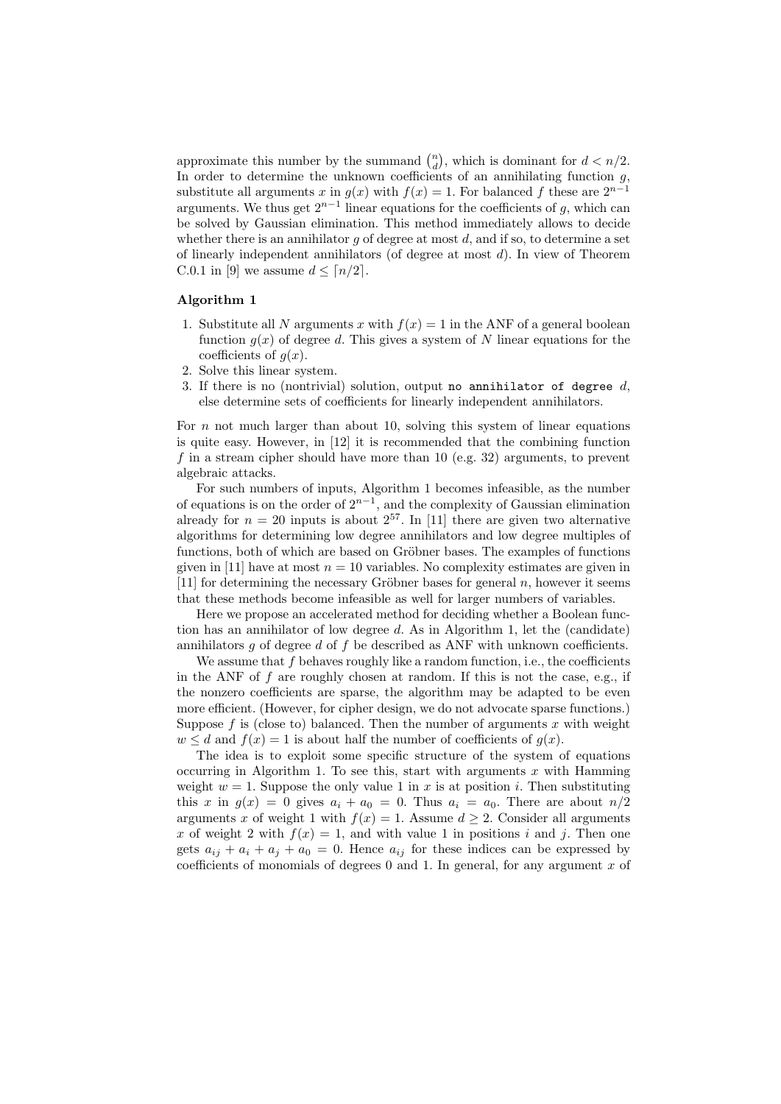approximate this number by the summand  $\binom{n}{d}$ , which is dominant for  $d < n/2$ . In order to determine the unknown coefficients of an annihilating function  $g$ , substitute all arguments x in  $g(x)$  with  $f(x) = 1$ . For balanced f these are  $2^{n-1}$ arguments. We thus get  $2^{n-1}$  linear equations for the coefficients of g, which can be solved by Gaussian elimination. This method immediately allows to decide whether there is an annihilator  $q$  of degree at most  $d$ , and if so, to determine a set of linearly independent annihilators (of degree at most d). In view of Theorem C.0.1 in [9] we assume  $d \leq \lceil n/2 \rceil$ .

#### Algorithm 1

- 1. Substitute all N arguments x with  $f(x) = 1$  in the ANF of a general boolean function  $g(x)$  of degree d. This gives a system of N linear equations for the coefficients of  $q(x)$ .
- 2. Solve this linear system.
- 3. If there is no (nontrivial) solution, output no annihilator of degree  $d$ , else determine sets of coefficients for linearly independent annihilators.

For n not much larger than about 10, solving this system of linear equations is quite easy. However, in [12] it is recommended that the combining function f in a stream cipher should have more than 10 (e.g. 32) arguments, to prevent algebraic attacks.

For such numbers of inputs, Algorithm 1 becomes infeasible, as the number of equations is on the order of  $2^{n-1}$ , and the complexity of Gaussian elimination already for  $n = 20$  inputs is about  $2^{57}$ . In [11] there are given two alternative algorithms for determining low degree annihilators and low degree multiples of functions, both of which are based on Gröbner bases. The examples of functions given in [11] have at most  $n = 10$  variables. No complexity estimates are given in [11] for determining the necessary Gröbner bases for general  $n$ , however it seems that these methods become infeasible as well for larger numbers of variables.

Here we propose an accelerated method for deciding whether a Boolean function has an annihilator of low degree d. As in Algorithm 1, let the (candidate) annihilators  $g$  of degree  $d$  of  $f$  be described as ANF with unknown coefficients.

We assume that  $f$  behaves roughly like a random function, i.e., the coefficients in the ANF of  $f$  are roughly chosen at random. If this is not the case, e.g., if the nonzero coefficients are sparse, the algorithm may be adapted to be even more efficient. (However, for cipher design, we do not advocate sparse functions.) Suppose  $f$  is (close to) balanced. Then the number of arguments  $x$  with weight  $w \leq d$  and  $f(x) = 1$  is about half the number of coefficients of  $q(x)$ .

The idea is to exploit some specific structure of the system of equations occurring in Algorithm 1. To see this, start with arguments  $x$  with Hamming weight  $w = 1$ . Suppose the only value 1 in x is at position i. Then substituting this x in  $g(x) = 0$  gives  $a_i + a_0 = 0$ . Thus  $a_i = a_0$ . There are about  $n/2$ arguments x of weight 1 with  $f(x) = 1$ . Assume  $d \geq 2$ . Consider all arguments x of weight 2 with  $f(x) = 1$ , and with value 1 in positions i and j. Then one gets  $a_{ij} + a_i + a_j + a_0 = 0$ . Hence  $a_{ij}$  for these indices can be expressed by coefficients of monomials of degrees  $0$  and  $1$ . In general, for any argument  $x$  of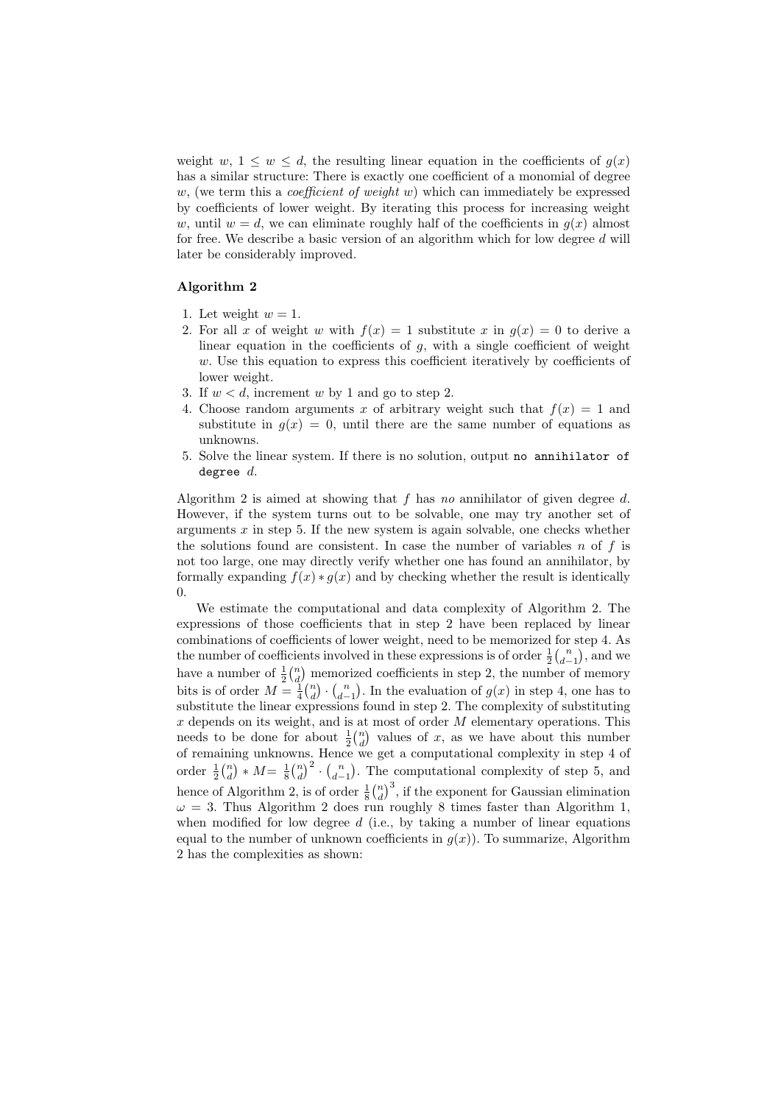weight w,  $1 \leq w \leq d$ , the resulting linear equation in the coefficients of  $g(x)$ has a similar structure: There is exactly one coefficient of a monomial of degree  $w$ , (we term this a *coefficient of weight*  $w$ ) which can immediately be expressed by coefficients of lower weight. By iterating this process for increasing weight w, until  $w = d$ , we can eliminate roughly half of the coefficients in  $q(x)$  almost for free. We describe a basic version of an algorithm which for low degree d will later be considerably improved.

#### Algorithm 2

- 1. Let weight  $w=1$ .
- 2. For all x of weight w with  $f(x) = 1$  substitute x in  $g(x) = 0$  to derive a linear equation in the coefficients of  $g$ , with a single coefficient of weight  $w$ . Use this equation to express this coefficient iteratively by coefficients of lower weight.
- 3. If  $w < d$ , increment w by 1 and go to step 2.
- 4. Choose random arguments x of arbitrary weight such that  $f(x) = 1$  and substitute in  $g(x) = 0$ , until there are the same number of equations as unknowns.
- 5. Solve the linear system. If there is no solution, output no annihilator of degree  $d$ .

Algorithm 2 is aimed at showing that  $f$  has no annihilator of given degree  $d$ . However, if the system turns out to be solvable, one may try another set of arguments  $x$  in step 5. If the new system is again solvable, one checks whether the solutions found are consistent. In case the number of variables  $n$  of  $f$  is not too large, one may directly verify whether one has found an annihilator, by formally expanding  $f(x) * g(x)$  and by checking whether the result is identically 0.

We estimate the computational and data complexity of Algorithm 2. The expressions of those coefficients that in step 2 have been replaced by linear combinations of coefficients of lower weight, need to be memorized for step 4. As the number of coefficients involved in these expressions is of order  $\frac{1}{2} {n \choose d-1}$ , and we have a number of  $\frac{1}{2} {n \choose d}$  memorized coefficients in step 2, the number of memory bits is of order  $M = \frac{1}{4} {n \choose d} \cdot {n \choose d-1}$ . In the evaluation of  $g(x)$  in step 4, one has to substitute the linear expressions found in step 2. The complexity of substituting  $x$  depends on its weight, and is at most of order  $M$  elementary operations. This needs to be done for about  $\frac{1}{2} {n \choose d}$  values of x, as we have about this number of remaining unknowns. Hence we get a computational complexity in step 4 of order  $\frac{1}{2} {n \choose d} * M = \frac{1}{8} {n \choose d}^2 \cdot {n \choose d-1}$ . The computational complexity of step 5, and hence of Algorithm 2, is of order  $\frac{1}{8} {n \choose d}^3$ , if the exponent for Gaussian elimination  $\omega = 3$ . Thus Algorithm 2 does run roughly 8 times faster than Algorithm 1, when modified for low degree  $d$  (i.e., by taking a number of linear equations equal to the number of unknown coefficients in  $g(x)$ ). To summarize, Algorithm 2 has the complexities as shown: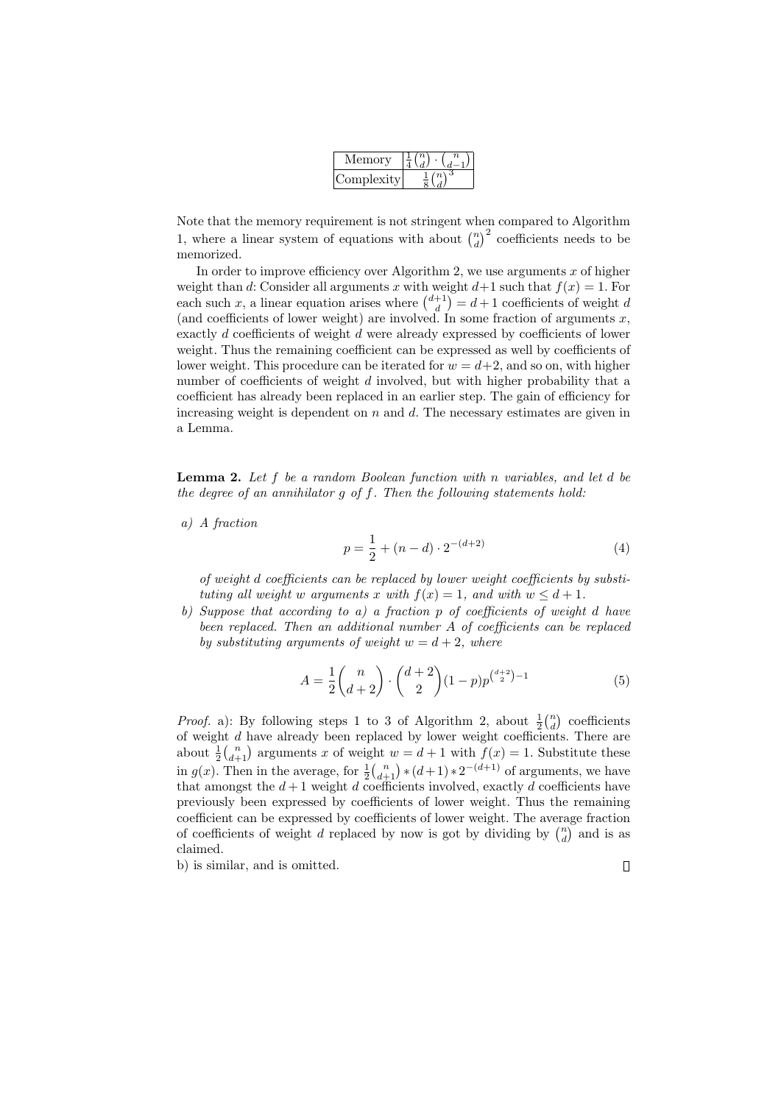| Memorv     |  |  |
|------------|--|--|
| Jomplexity |  |  |

Note that the memory requirement is not stringent when compared to Algorithm 1, where a linear system of equations with about  $\binom{n}{d}^2$  coefficients needs to be memorized.

In order to improve efficiency over Algorithm 2, we use arguments x of higher weight than d: Consider all arguments x with weight  $d+1$  such that  $f(x) = 1$ . For each such x, a linear equation arises where  $\binom{d+1}{d} = d+1$  coefficients of weight d (and coefficients of lower weight) are involved. In some fraction of arguments  $x$ , exactly d coefficients of weight d were already expressed by coefficients of lower weight. Thus the remaining coefficient can be expressed as well by coefficients of lower weight. This procedure can be iterated for  $w = d+2$ , and so on, with higher number of coefficients of weight  $d$  involved, but with higher probability that a coefficient has already been replaced in an earlier step. The gain of efficiency for increasing weight is dependent on  $n$  and  $d$ . The necessary estimates are given in a Lemma.

**Lemma 2.** Let f be a random Boolean function with n variables, and let d be the degree of an annihilator  $g$  of  $f$ . Then the following statements hold:

a) A fraction

$$
p = \frac{1}{2} + (n - d) \cdot 2^{-(d+2)} \tag{4}
$$

of weight d coefficients can be replaced by lower weight coefficients by substituting all weight w arguments x with  $f(x) = 1$ , and with  $w \leq d + 1$ .

b) Suppose that according to a) a fraction  $p$  of coefficients of weight d have been replaced. Then an additional number A of coefficients can be replaced by substituting arguments of weight  $w = d + 2$ , where

$$
A = \frac{1}{2} \binom{n}{d+2} \cdot \binom{d+2}{2} (1-p) p^{\binom{d+2}{2}-1} \tag{5}
$$

*Proof.* a): By following steps 1 to 3 of Algorithm 2, about  $\frac{1}{2} {n \choose d}$  coefficients of weight d have already been replaced by lower weight coefficients. There are about  $\frac{1}{2} {n \choose d+1}$  arguments x of weight  $w = d+1$  with  $f(x) = 1$ . Substitute these in  $g(x)$ . Then in the average, for  $\frac{1}{2} {n \choose d+1} * (d+1) * 2^{-(d+1)}$  of arguments, we have that amongst the  $d+1$  weight d coefficients involved, exactly d coefficients have previously been expressed by coefficients of lower weight. Thus the remaining coefficient can be expressed by coefficients of lower weight. The average fraction of coefficients of weight d replaced by now is got by dividing by  $\binom{n}{d}$  and is as claimed.

b) is similar, and is omitted.

 $\hfill\Box$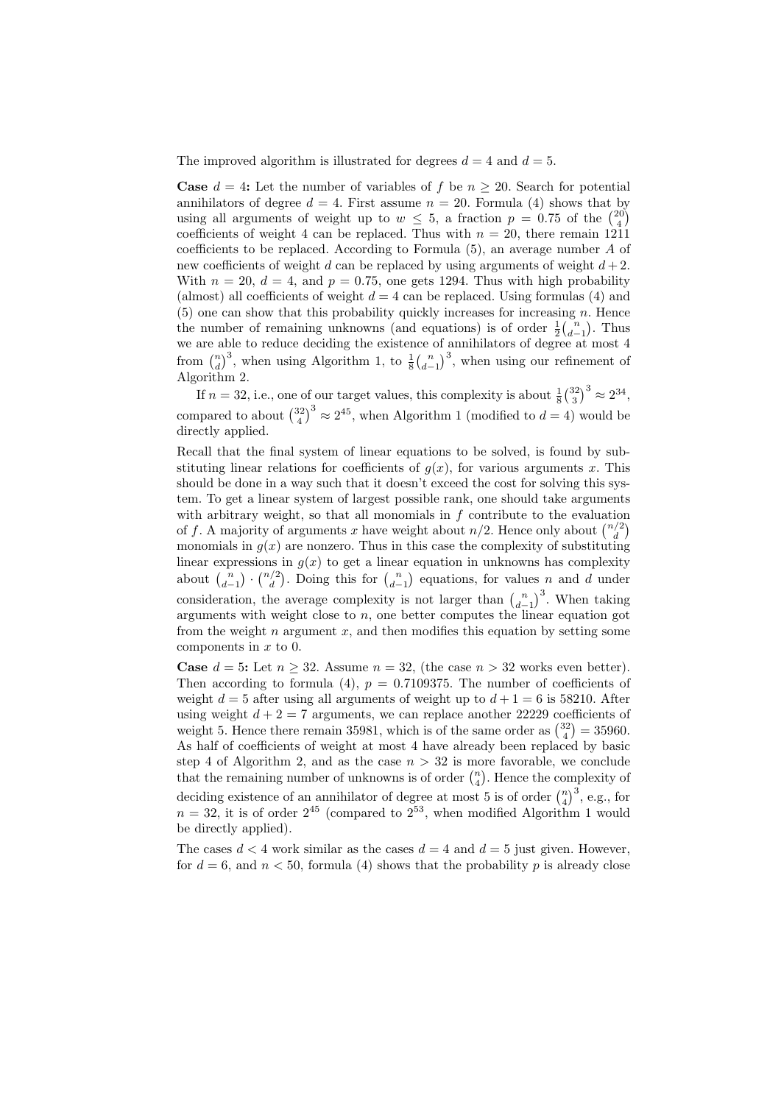The improved algorithm is illustrated for degrees  $d = 4$  and  $d = 5$ .

**Case**  $d = 4$ : Let the number of variables of f be  $n \geq 20$ . Search for potential annihilators of degree  $d = 4$ . First assume  $n = 20$ . Formula (4) shows that by using all arguments of weight up to  $w \leq 5$ , a fraction  $p = 0.75$  of the  $\binom{20}{4}$ coefficients of weight 4 can be replaced. Thus with  $n = 20$ , there remain 1211 coefficients to be replaced. According to Formula (5), an average number A of new coefficients of weight d can be replaced by using arguments of weight  $d+2$ . With  $n = 20$ ,  $d = 4$ , and  $p = 0.75$ , one gets 1294. Thus with high probability (almost) all coefficients of weight  $d = 4$  can be replaced. Using formulas (4) and  $(5)$  one can show that this probability quickly increases for increasing n. Hence the number of remaining unknowns (and equations) is of order  $\frac{1}{2} {n \choose d-1}$ . Thus we are able to reduce deciding the existence of annihilators of degree at most 4 from  $\binom{n}{d}^3$ , when using Algorithm 1, to  $\frac{1}{8} \binom{n}{d-1}^3$ , when using our refinement of Algorithm 2.

If  $n = 32$ , i.e., one of our target values, this complexity is about  $\frac{1}{8} {32 \choose 3}^3 \approx 2^{34}$ , compared to about  $\binom{32}{4}^3 \approx 2^{45}$ , when Algorithm 1 (modified to  $d = 4$ ) would be directly applied.

Recall that the final system of linear equations to be solved, is found by substituting linear relations for coefficients of  $q(x)$ , for various arguments x. This should be done in a way such that it doesn't exceed the cost for solving this system. To get a linear system of largest possible rank, one should take arguments with arbitrary weight, so that all monomials in  $f$  contribute to the evaluation of f. A majority of arguments x have weight about  $n/2$ . Hence only about  $\binom{n/2}{d}$ monomials in  $g(x)$  are nonzero. Thus in this case the complexity of substituting linear expressions in  $g(x)$  to get a linear equation in unknowns has complexity about  $\binom{n}{d-1} \cdot \binom{n/2}{d}$ . Doing this for  $\binom{n}{d-1}$  equations, for values n and d under consideration, the average complexity is not larger than  $\binom{n}{d-1}^3$ . When taking arguments with weight close to  $n$ , one better computes the linear equation got from the weight  $n$  argument  $x$ , and then modifies this equation by setting some components in  $x$  to 0.

**Case**  $d = 5$ : Let  $n > 32$ . Assume  $n = 32$ , (the case  $n > 32$  works even better). Then according to formula (4),  $p = 0.7109375$ . The number of coefficients of weight  $d = 5$  after using all arguments of weight up to  $d + 1 = 6$  is 58210. After using weight  $d + 2 = 7$  arguments, we can replace another 22229 coefficients of weight 5. Hence there remain 35981, which is of the same order as  $\binom{32}{4} = 35960$ . As half of coefficients of weight at most 4 have already been replaced by basic step 4 of Algorithm 2, and as the case  $n > 32$  is more favorable, we conclude that the remaining number of unknowns is of order  $\binom{n}{4}$ . Hence the complexity of deciding existence of an annihilator of degree at most 5 is of order  $\binom{n}{4}^3$ , e.g., for  $n = 32$ , it is of order  $2^{45}$  (compared to  $2^{53}$ , when modified Algorithm 1 would be directly applied).

The cases  $d < 4$  work similar as the cases  $d = 4$  and  $d = 5$  just given. However, for  $d = 6$ , and  $n < 50$ , formula (4) shows that the probability p is already close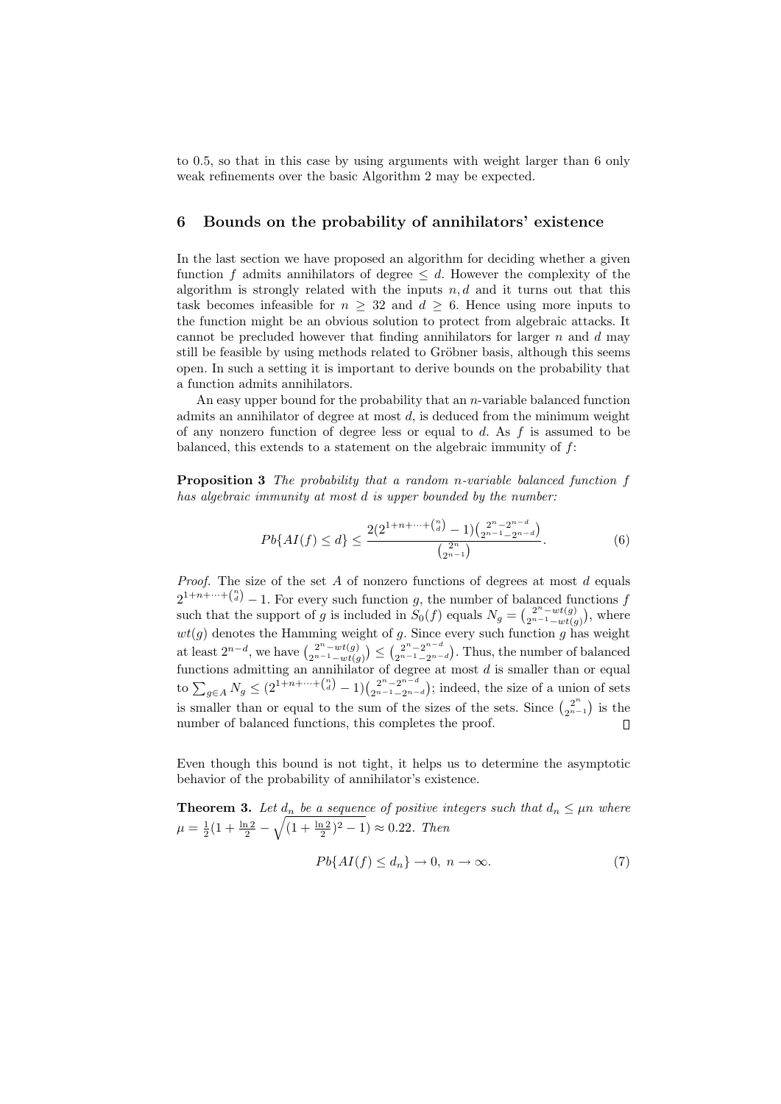to 0.5, so that in this case by using arguments with weight larger than 6 only weak refinements over the basic Algorithm 2 may be expected.

## 6 Bounds on the probability of annihilators' existence

In the last section we have proposed an algorithm for deciding whether a given function f admits annihilators of degree  $\leq d$ . However the complexity of the algorithm is strongly related with the inputs  $n, d$  and it turns out that this task becomes infeasible for  $n \geq 32$  and  $d \geq 6$ . Hence using more inputs to the function might be an obvious solution to protect from algebraic attacks. It cannot be precluded however that finding annihilators for larger  $n$  and  $d$  may still be feasible by using methods related to Gröbner basis, although this seems open. In such a setting it is important to derive bounds on the probability that a function admits annihilators.

An easy upper bound for the probability that an  $n$ -variable balanced function admits an annihilator of degree at most  $d$ , is deduced from the minimum weight of any nonzero function of degree less or equal to  $d$ . As  $f$  is assumed to be balanced, this extends to a statement on the algebraic immunity of  $f$ :

Proposition 3 The probability that a random n-variable balanced function f has algebraic immunity at most d is upper bounded by the number:

$$
Pb\{AI(f) \le d\} \le \frac{2(2^{1+n+\dots + {n \choose d}} - 1) {2^n - 2^{n-d} \choose 2^{n-1} - 2^{n-d}}}{\binom{2^n}{2^{n-1}}}.
$$
 (6)

*Proof.* The size of the set  $A$  of nonzero functions of degrees at most  $d$  equals  $2^{1+n+\cdots+\binom{n}{d}}-1$ . For every such function g, the number of balanced functions f such that the support of g is included in  $S_0(f)$  equals  $N_g = \binom{2^n - wt(g)}{2^{n-1} - wt(g)}$  $\binom{2^n-wt(g)}{2^{n-1}-wt(g)}$ , where  $wt(g)$  denotes the Hamming weight of g. Since every such function g has weight at least  $2^{n-d}$ , we have  $\binom{2^{n}-wt(g)}{2^{n-1}-wt(g)}$  $\binom{2^n - wt(g)}{2^{n-1} - wt(g)} \leq \binom{2^n - 2^{n-d}}{2^{n-1} - 2^{n-d}}$  $\binom{2^n-2^{n-u}}{2^{n-1}-2^{n-d}}$ . Thus, the number of balanced functions admitting an annihilator of degree at most  $d$  is smaller than or equal to  $\sum_{g \in A} N_g \leq (2^{1+n+\cdots + {n \choose d}} - 1) \binom{2^n - 2^{n-d}}{2^{n-1} - 2^{n-d}}$  $2^{n-2^{n}-2^{n}-d}$ ; indeed, the size of a union of sets is smaller than or equal to the sum of the sizes of the sets. Since  $\binom{2^n}{2^{n-1}}$  is the number of balanced functions, this completes the proof.

Even though this bound is not tight, it helps us to determine the asymptotic behavior of the probability of annihilator's existence.

**Theorem 3.** Let  $d_n$  be a sequence of positive integers such that  $d_n \leq \mu n$  where  $\mu = \frac{1}{2}(1 + \frac{\ln 2}{2} - \sqrt{(1 + \frac{\ln 2}{2})^2 - 1}) \approx 0.22$ . Then

$$
Pb\{AI(f) \le d_n\} \to 0, \ n \to \infty. \tag{7}
$$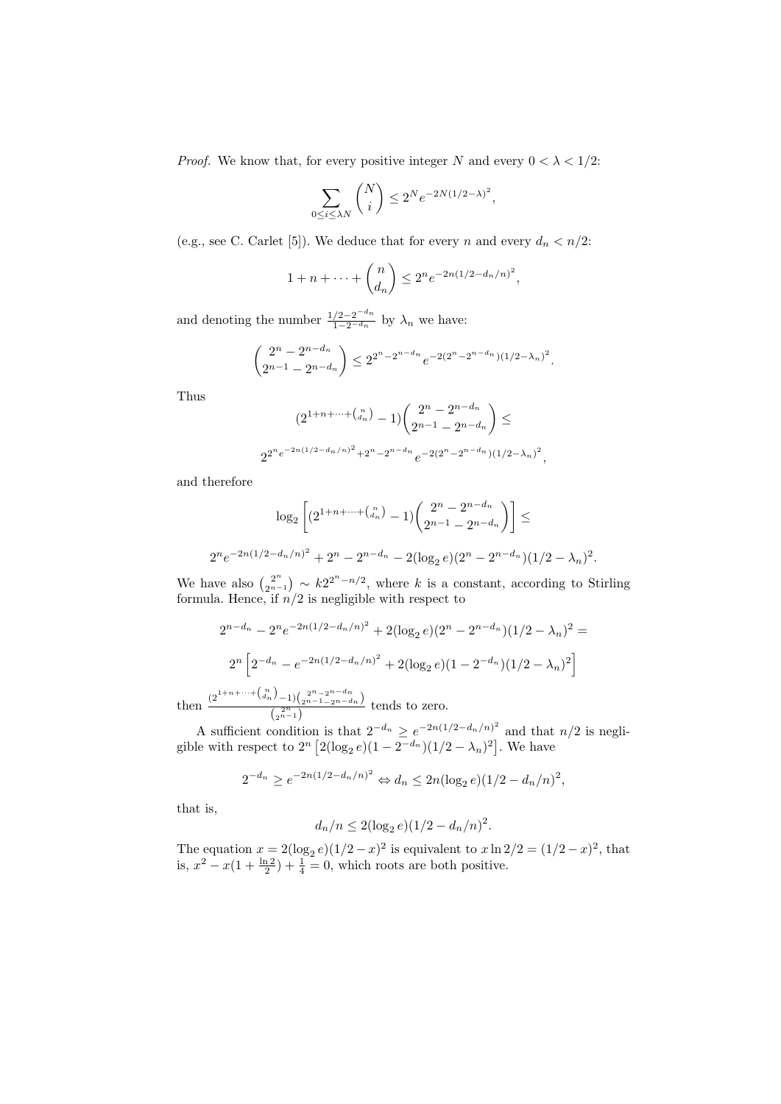*Proof.* We know that, for every positive integer N and every  $0 < \lambda < 1/2$ :

$$
\sum_{0 \le i \le \lambda N} \binom{N}{i} \le 2^N e^{-2N(1/2 - \lambda)^2},
$$

(e.g., see C. Carlet [5]). We deduce that for every n and every  $d_n < n/2$ :

$$
1 + n + \dots + \binom{n}{d_n} \le 2^n e^{-2n(1/2 - d_n/n)^2},
$$

and denoting the number  $\frac{1/2 - 2^{-d_n}}{1 - 2^{-d_n}}$  by  $\lambda_n$  we have:

$$
\binom{2^n - 2^{n-d_n}}{2^{n-1} - 2^{n-d_n}} \le 2^{2^n - 2^{n-d_n}} e^{-2(2^n - 2^{n-d_n})(1/2 - \lambda_n)^2}.
$$

Thus

$$
(2^{1+n+\cdots + {n \choose d_n}} - 1) {2^n - 2^{n-d_n}} \choose 2^{n-1} - 2^{n-d_n}} \le
$$
  

$$
2^{2^n e^{-2n(1/2 - d_n/n)^2} + 2^n - 2^{n-d_n}} e^{-2(2^n - 2^{n-d_n})(1/2 - \lambda_n)^2}
$$

,

and therefore

$$
\log_2\left[ (2^{1+n+\dots + \binom{n}{d_n}} - 1) \binom{2^n - 2^{n-d_n}}{2^{n-1} - 2^{n-d_n}} \right] \le
$$
  

$$
2^n e^{-2n(1/2 - d_n/n)^2} + 2^n - 2^{n-d_n} - 2(\log_2 e)(2^n - 2^{n-d_n})(1/2 - \lambda_n)^2.
$$

We have also  $\binom{2^n}{2^n}$  $\binom{2^n}{2^{n-1}} \sim k2^{2^n - n/2}$ , where k is a constant, according to Stirling formula. Hence, if  $n/2$  is negligible with respect to

$$
2^{n-d_n} - 2^n e^{-2n(1/2 - d_n/n)^2} + 2(\log_2 e)(2^n - 2^{n-d_n})(1/2 - \lambda_n)^2 =
$$
  

$$
2^n \left[ 2^{-d_n} - e^{-2n(1/2 - d_n/n)^2} + 2(\log_2 e)(1 - 2^{-d_n})(1/2 - \lambda_n)^2 \right]
$$

then  $\frac{(2^{1+n+\cdots+(n-1)}-1)\binom{2^{n}-2^{n-4n}}{2^{n-1}-2^{n-4n}}}{\binom{2^{n}}{2^{n}}}$  $\frac{2^{n-1}(2^{n-1}-2^{n-a_n})}{2^{n-1}}$  tends to zero.

A sufficient condition is that  $2^{-d_n} \ge e^{-2n(1/2-d_n/n)^2}$  and that  $n/2$  is negligible with respect to  $2^{n} [2(\log_2 e)(1 - 2^{-d_n})(1/2 - \lambda_n)^2]$ . We have

$$
2^{-d_n} \ge e^{-2n(1/2 - d_n/n)^2} \Leftrightarrow d_n \le 2n(\log_2 e)(1/2 - d_n/n)^2,
$$

that is,

$$
d_n/n \le 2(\log_2 e)(1/2 - d_n/n)^2.
$$

The equation  $x = 2(\log_2 e)(1/2 - x)^2$  is equivalent to  $x \ln 2/2 = (1/2 - x)^2$ , that is,  $x^2 - x(1 + \frac{\ln 2}{2}) + \frac{1}{4} = 0$ , which roots are both positive.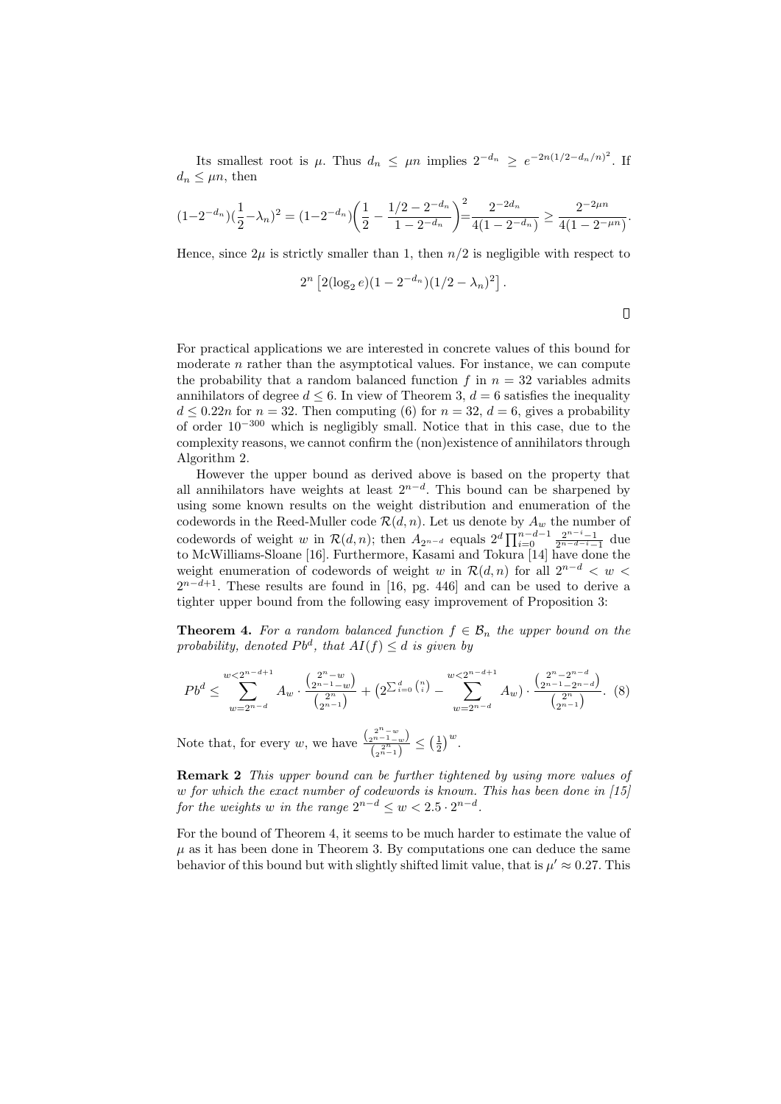Its smallest root is  $\mu$ . Thus  $d_n \leq \mu n$  implies  $2^{-d_n} \geq e^{-2n(1/2-d_n/n)^2}$ . If  $d_n \leq \mu n$ , then

$$
(1-2^{-d_n})(\frac{1}{2}-\lambda_n)^2 = (1-2^{-d_n})\left(\frac{1}{2}-\frac{1/2-2^{-d_n}}{1-2^{-d_n}}\right)^2 = \frac{2^{-2d_n}}{4(1-2^{-d_n})} \ge \frac{2^{-2\mu n}}{4(1-2^{-\mu n})}.
$$

Hence, since  $2\mu$  is strictly smaller than 1, then  $n/2$  is negligible with respect to

$$
2^{n} \left[ 2(\log_2 e)(1 - 2^{-d_n})(1/2 - \lambda_n)^2 \right].
$$

For practical applications we are interested in concrete values of this bound for moderate  $n$  rather than the asymptotical values. For instance, we can compute the probability that a random balanced function  $f$  in  $n = 32$  variables admits annihilators of degree  $d \leq 6$ . In view of Theorem 3,  $d = 6$  satisfies the inequality  $d \leq 0.22n$  for  $n = 32$ . Then computing (6) for  $n = 32$ ,  $d = 6$ , gives a probability of order 10<sup>−</sup><sup>300</sup> which is negligibly small. Notice that in this case, due to the complexity reasons, we cannot confirm the (non)existence of annihilators through Algorithm 2.

However the upper bound as derived above is based on the property that all annihilators have weights at least  $2^{n-d}$ . This bound can be sharpened by using some known results on the weight distribution and enumeration of the codewords in the Reed-Muller code  $\mathcal{R}(d, n)$ . Let us denote by  $A_w$  the number of codewords of weight w in  $\mathcal{R}(d,n)$ ; then  $A_{2^{n-d}}$  equals  $2^d \prod_{i=0}^{n-d-1} \frac{2^{n-i}-1}{2^{n-d-i}-1}$  due to McWilliams-Sloane [16]. Furthermore, Kasami and Tokura [14] have done the weight enumeration of codewords of weight w in  $\mathcal{R}(d, n)$  for all  $2^{n-d} < w <$  $2^{n-d+1}$ . These results are found in [16, pg. 446] and can be used to derive a tighter upper bound from the following easy improvement of Proposition 3:

**Theorem 4.** For a random balanced function  $f \in \mathcal{B}_n$  the upper bound on the probability, denoted  $Pb^d$ , that  $AI(f) \leq d$  is given by

$$
Pb^{d} \leq \sum_{w=2^{n-d}}^{w < 2^{n-d+1}} A_w \cdot \frac{\binom{2^{n}-w}{2^{n-1}-w}}{\binom{2^{n}}{2^{n-1}}} + \left(2^{\sum_{i=0}^{d} \binom{n}{i}} - \sum_{w=2^{n-d}}^{w < 2^{n-d+1}} A_w \right) \cdot \frac{\binom{2^{n}-2^{n-d}}{2^{n-1}-2^{n-d}}}{\binom{2^{n}}{2^{n-1}}}.
$$
 (8)

Note that, for every w, we have  $\frac{\binom{2^{n}-w}{2^{n}-w}}{\binom{2n-w}{2}}$  $\frac{\binom{n}{2^{n-1}-w}}{\binom{2^n}{2^n-1}}\leq \left(\frac{1}{2}\right)^w.$ 

Remark 2 This upper bound can be further tightened by using more values of w for which the exact number of codewords is known. This has been done in [15] for the weights w in the range  $2^{n-d} \leq w < 2.5 \cdot 2^{n-d}$ .

For the bound of Theorem 4, it seems to be much harder to estimate the value of  $\mu$  as it has been done in Theorem 3. By computations one can deduce the same behavior of this bound but with slightly shifted limit value, that is  $\mu' \approx 0.27$ . This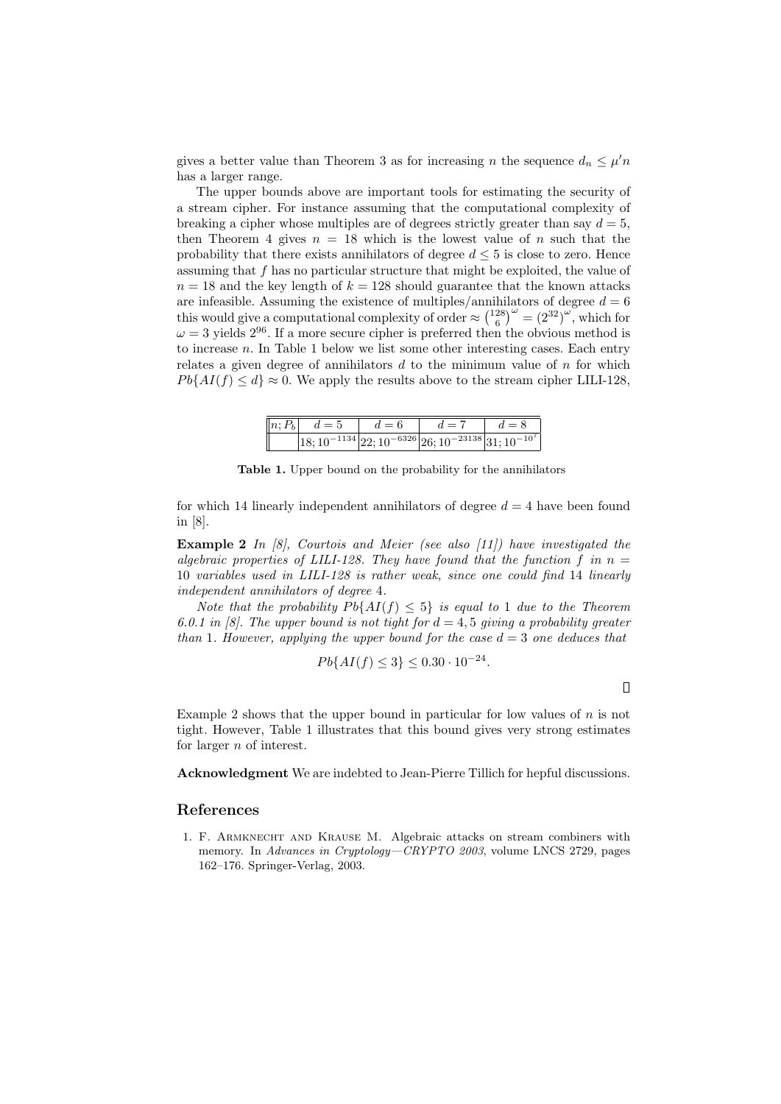gives a better value than Theorem 3 as for increasing n the sequence  $d_n \leq \mu'n$ has a larger range.

The upper bounds above are important tools for estimating the security of a stream cipher. For instance assuming that the computational complexity of breaking a cipher whose multiples are of degrees strictly greater than say  $d = 5$ , then Theorem 4 gives  $n = 18$  which is the lowest value of n such that the probability that there exists annihilators of degree  $d \leq 5$  is close to zero. Hence assuming that f has no particular structure that might be exploited, the value of  $n = 18$  and the key length of  $k = 128$  should guarantee that the known attacks are infeasible. Assuming the existence of multiples/annihilators of degree  $d = 6$ this would give a computational complexity of order  $\approx \binom{128}{6}^{\omega} = \left(2^{32}\right)^{\omega}$ , which for  $\omega = 3$  yields  $2^{96}$ . If a more secure cipher is preferred then the obvious method is to increase  $n$ . In Table 1 below we list some other interesting cases. Each entry relates a given degree of annihilators  $d$  to the minimum value of  $n$  for which  $P \{A I(f) \leq d\} \approx 0$ . We apply the results above to the stream cipher LILI-128,

|  | $\left\ n; P_b\right\ $ $d=5$ | $d=6$ | $d=7$                                                                                      | $d=8$ |
|--|-------------------------------|-------|--------------------------------------------------------------------------------------------|-------|
|  |                               |       | $\left 18;10^{-1134}\right 22;10^{-6326}\left 26;10^{-23138}\right 31;10^{-10^{7}}\right $ |       |

Table 1. Upper bound on the probability for the annihilators

for which 14 linearly independent annihilators of degree  $d = 4$  have been found in [8].

**Example 2** In  $\begin{bmatrix} 8 \end{bmatrix}$ , Courtois and Meier (see also  $\begin{bmatrix} 11 \end{bmatrix}$ ) have investigated the algebraic properties of LILI-128. They have found that the function f in  $n =$ 10 variables used in LILI-128 is rather weak, since one could find 14 linearly independent annihilators of degree 4.

Note that the probability  $P\{AI(f) \leq 5\}$  is equal to 1 due to the Theorem 6.0.1 in [8]. The upper bound is not tight for  $d = 4, 5$  giving a probability greater than 1. However, applying the upper bound for the case  $d=3$  one deduces that

$$
Pb\{AI(f) \le 3\} \le 0.30 \cdot 10^{-24}.
$$

Example 2 shows that the upper bound in particular for low values of  $n$  is not tight. However, Table 1 illustrates that this bound gives very strong estimates for larger  $n$  of interest.

Acknowledgment We are indebted to Jean-Pierre Tillich for hepful discussions.

## References

1. F. Armknecht and Krause M. Algebraic attacks on stream combiners with memory. In Advances in Cryptology—CRYPTO 2003, volume LNCS 2729, pages 162–176. Springer-Verlag, 2003.